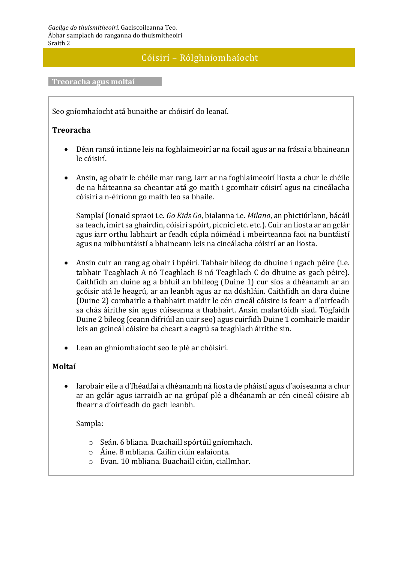### Cóisirí – Rólghníomhaíocht

#### **Treoracha agus moltaí**

Seo gníomhaíocht atá bunaithe ar chóisirí do leanaí.

#### **Treoracha**

- Déan ransú intinne leis na foghlaimeoirí ar na focail agus ar na frásaí a bhaineann le cóisirí.
- Ansin, ag obair le chéile mar rang, iarr ar na foghlaimeoirí liosta a chur le chéile de na háiteanna sa cheantar atá go maith i gcomhair cóisirí agus na cineálacha cóisirí a n-éiríonn go maith leo sa bhaile.

Samplaí (Ionaid spraoi i.e. *Go Kids Go*, bialanna i.e. *Milano*, an phictiúrlann, bácáil sa teach, imirt sa ghairdín, cóisirí spóirt, picnicí etc. etc.). Cuir an liosta ar an gclár agus iarr orthu labhairt ar feadh cúpla nóiméad i mbeirteanna faoi na buntáistí agus na míbhuntáistí a bhaineann leis na cineálacha cóisirí ar an liosta.

- Ansin cuir an rang ag obair i bpéirí. Tabhair bileog do dhuine i ngach péire (i.e. tabhair Teaghlach A nó Teaghlach B nó Teaghlach C do dhuine as gach péire). Caithfidh an duine ag a bhfuil an bhileog (Duine 1) cur síos a dhéanamh ar an gcóisir atá le heagrú, ar an leanbh agus ar na dúshláin. Caithfidh an dara duine (Duine 2) comhairle a thabhairt maidir le cén cineál cóisire is fearr a d'oirfeadh sa chás áirithe sin agus cúiseanna a thabhairt. Ansin malartóidh siad. Tógfaidh Duine 2 bileog (ceann difriúil an uair seo) agus cuirfidh Duine 1 comhairle maidir leis an gcineál cóisire ba cheart a eagrú sa teaghlach áirithe sin.
- Lean an ghníomhaíocht seo le plé ar chóisirí.

#### **Moltaí**

 Iarobair eile a d'fhéadfaí a dhéanamh ná liosta de pháistí agus d'aoiseanna a chur ar an gclár agus iarraidh ar na grúpaí plé a dhéanamh ar cén cineál cóisire ab fhearr a d'oirfeadh do gach leanbh.

Sampla:

- o Seán. 6 bliana. Buachaill spórtúil gníomhach.
- o Áine. 8 mbliana. Cailín ciúin ealaíonta.
- o Evan. 10 mbliana. Buachaill ciúin, ciallmhar.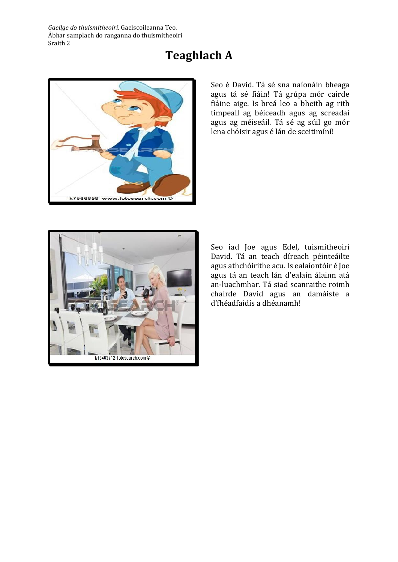*Gaeilge do thuismitheoirí*. Gaelscoileanna Teo. Ábhar samplach do ranganna do thuismitheoirí Sraith 2

## **Teaghlach A**



Seo é David. Tá sé sna naíonáin bheaga agus tá sé fiáin! Tá grúpa mór cairde fiáine aige. Is breá leo a bheith ag rith timpeall ag béiceadh agus ag screadaí agus ag méiseáil. Tá sé ag súil go mór lena chóisir agus é lán de sceitimíní!



Seo iad Joe agus Edel, tuismitheoirí David. Tá an teach díreach péinteáilte agus athchóirithe acu. Is ealaíontóir é Joe agus tá an teach lán d'ealaín álainn atá an-luachmhar. Tá siad scanraithe roimh chairde David agus an damáiste a d'fhéadfaidís a dhéanamh!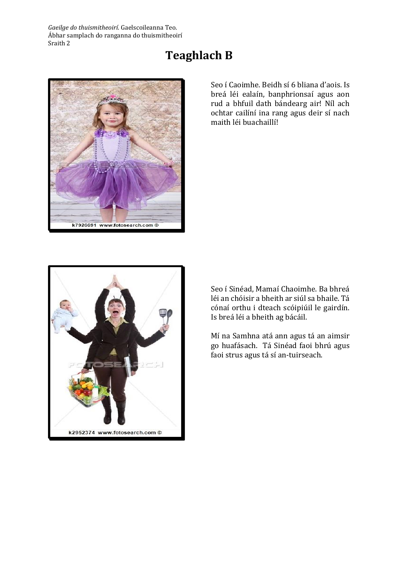*Gaeilge do thuismitheoirí*. Gaelscoileanna Teo. Ábhar samplach do ranganna do thuismitheoirí Sraith 2



### **Teaghlach B**

Seo í Caoimhe. Beidh sí 6 bliana d'aois. Is breá léi ealaín, banphrionsaí agus aon rud a bhfuil dath bándearg air! Níl ach ochtar cailíní ina rang agus deir sí nach maith léi buachaillí!



Seo í Sinéad, Mamaí Chaoimhe. Ba bhreá léi an chóisir a bheith ar siúl sa bhaile. Tá cónaí orthu i dteach scóipiúil le gairdín. Is breá léi a bheith ag bácáil.

Mí na Samhna atá ann agus tá an aimsir go huafásach. Tá Sinéad faoi bhrú agus faoi strus agus tá sí an-tuirseach.